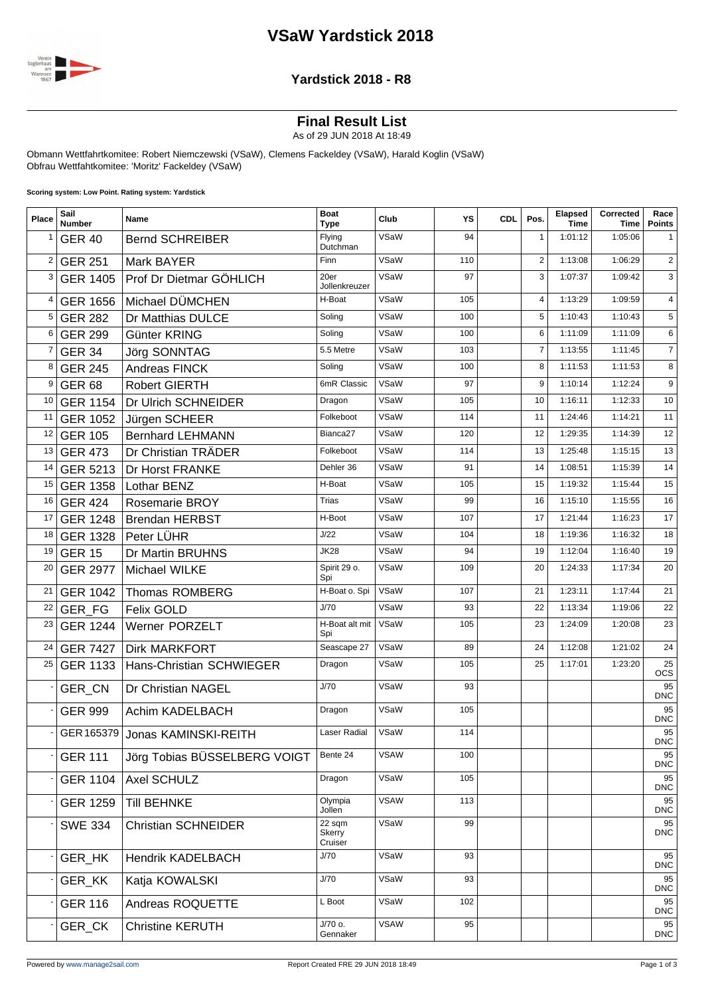# **VSaW Yardstick 2018**



#### **Yardstick 2018 - R8**

## **Final Result List**

As of 29 JUN 2018 At 18:49

Obmann Wettfahrtkomitee: Robert Niemczewski (VSaW), Clemens Fackeldey (VSaW), Harald Koglin (VSaW) Obfrau Wettfahtkomitee: 'Moritz' Fackeldey (VSaW)

**Scoring system: Low Point. Rating system: Yardstick**

| Place          | Sail<br><b>Number</b> | Name                              | <b>Boat</b><br>Type         | Club        | YS  | <b>CDL</b> | Pos.           | Elapsed<br><b>Time</b> | Corrected<br><b>Time</b> | Race<br><b>Points</b> |
|----------------|-----------------------|-----------------------------------|-----------------------------|-------------|-----|------------|----------------|------------------------|--------------------------|-----------------------|
| 1              | <b>GER 40</b>         | <b>Bernd SCHREIBER</b>            | Flying<br>Dutchman          | VSaW        | 94  |            | $\mathbf{1}$   | 1:01:12                | 1:05:06                  | 1                     |
| $\overline{2}$ | <b>GER 251</b>        | Mark BAYER                        | Finn                        | VSaW        | 110 |            | $\overline{2}$ | 1:13:08                | 1:06:29                  | $\mathbf{2}$          |
| 3              | <b>GER 1405</b>       | Prof Dr Dietmar GÖHLICH           | 20er<br>Jollenkreuzer       | VSaW        | 97  |            | 3              | 1:07:37                | 1:09:42                  | 3                     |
| 4              | <b>GER 1656</b>       | Michael DÜMCHEN                   | H-Boat                      | VSaW        | 105 |            | 4              | 1:13:29                | 1:09:59                  | $\overline{4}$        |
| 5              | <b>GER 282</b>        | Dr Matthias DULCE                 | Soling                      | VSaW        | 100 |            | 5              | 1:10:43                | 1:10:43                  | 5                     |
| 6              | <b>GER 299</b>        | Günter KRING                      | Soling                      | VSaW        | 100 |            | 6              | 1:11:09                | 1:11:09                  | 6                     |
| 7              | <b>GER 34</b>         | Jörg SONNTAG                      | 5.5 Metre                   | VSaW        | 103 |            | $\overline{7}$ | 1:13:55                | 1:11:45                  | $\overline{7}$        |
| 8              | <b>GER 245</b>        | Andreas FINCK                     | Soling                      | VSaW        | 100 |            | 8              | 1:11:53                | 1:11:53                  | 8                     |
| 9              | <b>GER 68</b>         | <b>Robert GIERTH</b>              | 6mR Classic                 | VSaW        | 97  |            | 9              | 1:10:14                | 1:12:24                  | 9                     |
| 10             | <b>GER 1154</b>       | Dr Ulrich SCHNEIDER               | Dragon                      | VSaW        | 105 |            | 10             | 1:16:11                | 1:12:33                  | 10                    |
| 11             | <b>GER 1052</b>       | Jürgen SCHEER                     | Folkeboot                   | VSaW        | 114 |            | 11             | 1:24:46                | 1:14:21                  | 11                    |
| 12             | <b>GER 105</b>        | <b>Bernhard LEHMANN</b>           | Bianca <sub>27</sub>        | VSaW        | 120 |            | 12             | 1:29:35                | 1:14:39                  | 12                    |
| 13             | <b>GER 473</b>        | Dr Christian TRÄDER               | Folkeboot                   | VSaW        | 114 |            | 13             | 1:25:48                | 1:15:15                  | 13                    |
| 14             | GER 5213              | Dr Horst FRANKE                   | Dehler 36                   | VSaW        | 91  |            | 14             | 1:08:51                | 1:15:39                  | 14                    |
| 15             | <b>GER 1358</b>       | Lothar BENZ                       | H-Boat                      | VSaW        | 105 |            | 15             | 1:19:32                | 1:15:44                  | 15                    |
| 16             | <b>GER 424</b>        | <b>Rosemarie BROY</b>             | Trias                       | VSaW        | 99  |            | 16             | 1:15:10                | 1:15:55                  | 16                    |
| 17             | <b>GER 1248</b>       | <b>Brendan HERBST</b>             | H-Boot                      | VSaW        | 107 |            | 17             | 1:21:44                | 1:16:23                  | 17                    |
| 18             |                       | GER 1328   Peter LÜHR             | J/22                        | VSaW        | 104 |            | 18             | 1:19:36                | 1:16:32                  | 18                    |
| 19             | <b>GER 15</b>         | Dr Martin BRUHNS                  | <b>JK28</b>                 | VSaW        | 94  |            | 19             | 1:12:04                | 1:16:40                  | 19                    |
| 20             | <b>GER 2977</b>       | Michael WILKE                     | Spirit 29 o.<br>Spi         | VSaW        | 109 |            | 20             | 1:24:33                | 1:17:34                  | 20                    |
| 21             | <b>GER 1042</b>       | <b>Thomas ROMBERG</b>             | H-Boat o. Spi               | VSaW        | 107 |            | 21             | 1:23:11                | 1:17:44                  | 21                    |
| 22             | <b>GER FG</b>         | <b>Felix GOLD</b>                 | J/70                        | VSaW        | 93  |            | 22             | 1:13:34                | 1:19:06                  | 22                    |
| 23             | <b>GER 1244</b>       | Werner PORZELT                    | H-Boat alt mit<br>Spi       | VSaW        | 105 |            | 23             | 1:24:09                | 1:20:08                  | 23                    |
| 24             | <b>GER 7427</b>       | <b>Dirk MARKFORT</b>              | Seascape 27                 | VSaW        | 89  |            | 24             | 1:12:08                | 1:21:02                  | 24                    |
| 25             | <b>GER 1133</b>       | <b>Hans-Christian SCHWIEGER</b>   | Dragon                      | VSaW        | 105 |            | 25             | 1:17:01                | 1:23:20                  | 25<br><b>OCS</b>      |
|                | GER_CN                | Dr Christian NAGEL                | J/70                        | VSaW        | 93  |            |                |                        |                          | 95<br><b>DNC</b>      |
|                | <b>GER 999</b>        | Achim KADELBACH                   | Dragon                      | VSaW        | 105 |            |                |                        |                          | 95<br><b>DNC</b>      |
|                |                       | - GER 165379 Jonas KAMINSKI-REITH | Laser Radial                | VSaW        | 114 |            |                |                        |                          | 95<br><b>DNC</b>      |
|                | <b>GER 111</b>        | Jörg Tobias BÜSSELBERG VOIGT      | Bente 24                    | <b>VSAW</b> | 100 |            |                |                        |                          | 95<br><b>DNC</b>      |
|                | <b>GER 1104</b>       | Axel SCHULZ                       | Dragon                      | VSaW        | 105 |            |                |                        |                          | 95<br><b>DNC</b>      |
|                | <b>GER 1259</b>       | <b>Till BEHNKE</b>                | Olympia<br>Jollen           | <b>VSAW</b> | 113 |            |                |                        |                          | 95<br><b>DNC</b>      |
|                | <b>SWE 334</b>        | <b>Christian SCHNEIDER</b>        | 22 sqm<br>Skerry<br>Cruiser | VSaW        | 99  |            |                |                        |                          | 95<br><b>DNC</b>      |
|                | GER_HK                | <b>Hendrik KADELBACH</b>          | J/70                        | VSaW        | 93  |            |                |                        |                          | 95<br><b>DNC</b>      |
|                | <b>GER KK</b>         | Katja KOWALSKI                    | J/70                        | VSaW        | 93  |            |                |                        |                          | 95<br><b>DNC</b>      |
|                | <b>GER 116</b>        | Andreas ROQUETTE                  | L Boot                      | VSaW        | 102 |            |                |                        |                          | 95<br><b>DNC</b>      |
|                | GER_CK                | <b>Christine KERUTH</b>           | J/70 o.<br>Gennaker         | <b>VSAW</b> | 95  |            |                |                        |                          | 95<br><b>DNC</b>      |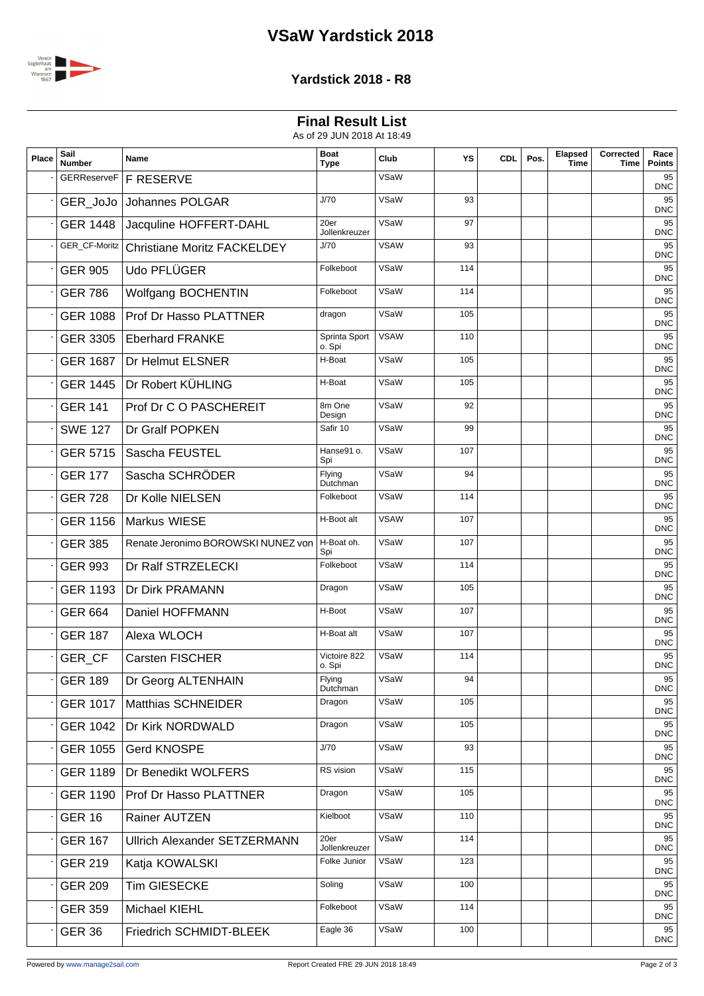# **VSaW Yardstick 2018**



### **Yardstick 2018 - R8**

## **Final Result List**

As of 29 JUN 2018 At 18:49

| Place | Sail<br><b>Number</b> | Name                                | <b>Boat</b><br><b>Type</b> | Club        | YS  | <b>CDL</b> | Pos. | Elapsed<br><b>Time</b> | Corrected<br>Time | Race<br><b>Points</b> |
|-------|-----------------------|-------------------------------------|----------------------------|-------------|-----|------------|------|------------------------|-------------------|-----------------------|
|       | <b>GERReserveF</b>    | <b>F RESERVE</b>                    |                            | VSaW        |     |            |      |                        |                   | 95<br><b>DNC</b>      |
|       | GER_JoJo              | Johannes POLGAR                     | J/70                       | VSaW        | 93  |            |      |                        |                   | 95<br><b>DNC</b>      |
|       | <b>GER 1448</b>       | Jacquline HOFFERT-DAHL              | 20er<br>Jollenkreuzer      | VSaW        | 97  |            |      |                        |                   | 95<br><b>DNC</b>      |
|       | GER_CF-Moritz         | <b>Christiane Moritz FACKELDEY</b>  | J/70                       | <b>VSAW</b> | 93  |            |      |                        |                   | 95<br>DNC             |
|       | <b>GER 905</b>        | Udo PFLÜGER                         | Folkeboot                  | VSaW        | 114 |            |      |                        |                   | 95<br><b>DNC</b>      |
|       | <b>GER 786</b>        | Wolfgang BOCHENTIN                  | Folkeboot                  | VSaW        | 114 |            |      |                        |                   | 95<br><b>DNC</b>      |
|       | <b>GER 1088</b>       | Prof Dr Hasso PLATTNER              | dragon                     | VSaW        | 105 |            |      |                        |                   | 95<br><b>DNC</b>      |
|       | <b>GER 3305</b>       | <b>Eberhard FRANKE</b>              | Sprinta Sport<br>o. Spi    | <b>VSAW</b> | 110 |            |      |                        |                   | 95<br><b>DNC</b>      |
|       | <b>GER 1687</b>       | Dr Helmut ELSNER                    | H-Boat                     | VSaW        | 105 |            |      |                        |                   | 95<br>DNC             |
|       | <b>GER 1445</b>       | Dr Robert KÜHLING                   | H-Boat                     | VSaW        | 105 |            |      |                        |                   | 95<br><b>DNC</b>      |
|       | <b>GER 141</b>        | Prof Dr C O PASCHEREIT              | 8m One<br>Design           | VSaW        | 92  |            |      |                        |                   | 95<br>DNC             |
|       | <b>SWE 127</b>        | Dr Gralf POPKEN                     | Safir 10                   | VSaW        | 99  |            |      |                        |                   | 95<br><b>DNC</b>      |
|       | <b>GER 5715</b>       | Sascha FEUSTEL                      | Hanse91 o.<br>Spi          | VSaW        | 107 |            |      |                        |                   | 95<br>DNC             |
|       | <b>GER 177</b>        | Sascha SCHRÖDER                     | Flying<br>Dutchman         | VSaW        | 94  |            |      |                        |                   | 95<br><b>DNC</b>      |
|       | <b>GER 728</b>        | Dr Kolle NIELSEN                    | Folkeboot                  | VSaW        | 114 |            |      |                        |                   | 95<br><b>DNC</b>      |
|       | <b>GER 1156</b>       | Markus WIESE                        | H-Boot alt                 | <b>VSAW</b> | 107 |            |      |                        |                   | 95<br>DNC             |
|       | <b>GER 385</b>        | Renate Jeronimo BOROWSKI NUNEZ von  | H-Boat oh.<br>Spi          | VSaW        | 107 |            |      |                        |                   | 95<br><b>DNC</b>      |
|       | <b>GER 993</b>        | Dr Ralf STRZELECKI                  | Folkeboot                  | VSaW        | 114 |            |      |                        |                   | 95<br>DNC             |
|       | <b>GER 1193</b>       | Dr Dirk PRAMANN                     | Dragon                     | VSaW        | 105 |            |      |                        |                   | 95<br><b>DNC</b>      |
|       | <b>GER 664</b>        | Daniel HOFFMANN                     | H-Boot                     | VSaW        | 107 |            |      |                        |                   | 95<br>DNC             |
|       | <b>GER 187</b>        | Alexa WLOCH                         | H-Boat alt                 | VSaW        | 107 |            |      |                        |                   | 95<br><b>DNC</b>      |
|       | GER CF                | Carsten FISCHER                     | Victoire 822<br>o. Spi     | VSaW        | 114 |            |      |                        |                   | 95<br><b>DNC</b>      |
|       | <b>GER 189</b>        | Dr Georg ALTENHAIN                  | Flying<br>Dutchman         | VSaW        | 94  |            |      |                        |                   | 95<br><b>DNC</b>      |
|       | <b>GER 1017</b>       | <b>Matthias SCHNEIDER</b>           | Dragon                     | VSaW        | 105 |            |      |                        |                   | 95<br><b>DNC</b>      |
|       | <b>GER 1042</b>       | Dr Kirk NORDWALD                    | Dragon                     | VSaW        | 105 |            |      |                        |                   | 95<br>DNC             |
|       | <b>GER 1055</b>       | Gerd KNOSPE                         | J/70                       | VSaW        | 93  |            |      |                        |                   | 95<br><b>DNC</b>      |
|       | <b>GER 1189</b>       | Dr Benedikt WOLFERS                 | RS vision                  | VSaW        | 115 |            |      |                        |                   | 95<br>DNC             |
|       | <b>GER 1190</b>       | <b>Prof Dr Hasso PLATTNER</b>       | Dragon                     | VSaW        | 105 |            |      |                        |                   | 95<br><b>DNC</b>      |
|       | <b>GER 16</b>         | Rainer AUTZEN                       | Kielboot                   | VSaW        | 110 |            |      |                        |                   | 95<br><b>DNC</b>      |
|       | <b>GER 167</b>        | <b>Ullrich Alexander SETZERMANN</b> | 20er<br>Jollenkreuzer      | VSaW        | 114 |            |      |                        |                   | 95<br>DNC             |
|       | <b>GER 219</b>        | Katja KOWALSKI                      | Folke Junior               | VSaW        | 123 |            |      |                        |                   | 95<br><b>DNC</b>      |
|       | <b>GER 209</b>        | Tim GIESECKE                        | Soling                     | VSaW        | 100 |            |      |                        |                   | 95<br>DNC             |
|       | <b>GER 359</b>        | Michael KIEHL                       | Folkeboot                  | VSaW        | 114 |            |      |                        |                   | 95<br><b>DNC</b>      |
|       | <b>GER 36</b>         | Friedrich SCHMIDT-BLEEK             | Eagle 36                   | VSaW        | 100 |            |      |                        |                   | 95<br>DNC             |